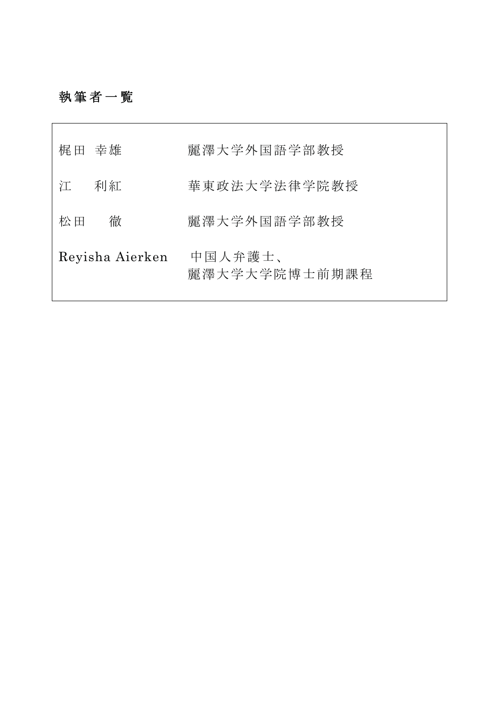## 執筆者一覧

 $\Box$ 

| 梶田 幸雄           | 麗澤大学外国語学部教授              |
|-----------------|--------------------------|
| 利紅<br>江         | 華東政法大学法律学院教授             |
| 徹<br>松田         | 麗澤大学外国語学部教授              |
| Reyisha Aierken | 中国人弁護士、<br>麗澤大学大学院博士前期課程 |